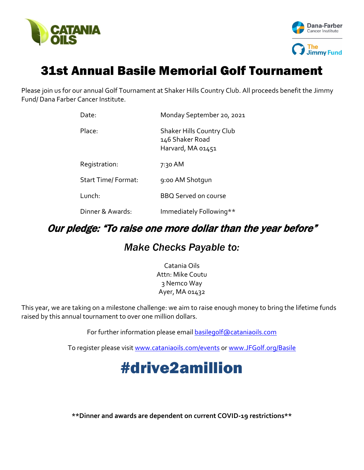



## 31st Annual Basile Memorial Golf Tournament

Please join us for our annual Golf Tournament at Shaker Hills Country Club. All proceeds benefit the Jimmy Fund/ Dana Farber Cancer Institute.

| Date:                     | Monday September 20, 2021                                                |  |  |
|---------------------------|--------------------------------------------------------------------------|--|--|
| Place:                    | <b>Shaker Hills Country Club</b><br>146 Shaker Road<br>Harvard, MA 01451 |  |  |
| Registration:             | 7:30 AM                                                                  |  |  |
| <b>Start Time/Format:</b> | 9:00 AM Shotgun                                                          |  |  |
| Lunch:                    | <b>BBQ Served on course</b>                                              |  |  |
| Dinner & Awards:          | Immediately Following**                                                  |  |  |

## Our pledge: "To raise one more dollar than the year before"

### *Make Checks Payable to:*

Catania Oils Attn: Mike Coutu 3 Nemco Way Ayer, MA 01432

This year, we are taking on a milestone challenge: we aim to raise enough money to bring the lifetime funds raised by this annual tournament to over one million dollars.

For further information please email **[basilegolf@cataniaoils.com](mailto:basilegolf@cataniaoils.com)** 

To register please visit [www.cataniaoils.com/events](http://www.cataniaoils.com/events) or [www.JFGolf.org/Basile](http://www.jfgolf.org/Basile)

# #drive2amillion

**\*\*Dinner and awards are dependent on current COVID-19 restrictions\*\***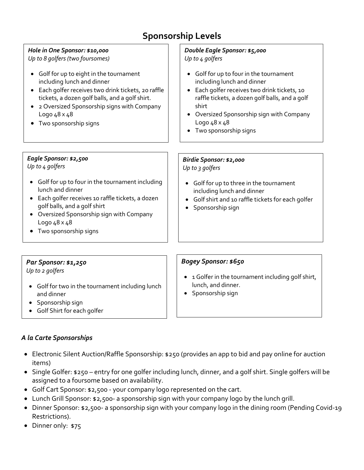## **Sponsorship Levels**

## *Hole in One Sponsor: \$10,000*

*Up to 8 golfers (two foursomes)*

- Golf for up to eight in the tournament including lunch and dinner
- Each golfer receives two drink tickets, 20 raffle tickets, a dozen golf balls, and a golf shirt.
- 2 Oversized Sponsorship signs with Company Logo 48 x 48
- Two sponsorship signs

#### *Double Eagle Sponsor: \$5,000 Up to 4 golfers*

- Golf for up to four in the tournament including lunch and dinner
- Each golfer receives two drink tickets, 10 raffle tickets, a dozen golf balls, and a golf shirt
- Oversized Sponsorship sign with Company Logo 48 x 48

• Golf for up to three in the tournament

• Golf shirt and 10 raffle tickets for each golfer

including lunch and dinner

• Two sponsorship signs

*Birdie Sponsor: \$2,000*

• Sponsorship sign

*Up to 3 golfers*

#### *Eagle Sponsor: \$2,500*

*Up to 4 golfers*

- Golf for up to four in the tournament including lunch and dinner
- Each golfer receives 10 raffle tickets, a dozen golf balls, and a golf shirt
- Oversized Sponsorship sign with Company Logo 48 x 48
- Two sponsorship signs

#### *Par Sponsor: \$1,250*

*Up to 2 golfers*

- Golf for two in the tournament including lunch and dinner
- Sponsorship sign
- Golf Shirt for each golfer

#### *A la Carte Sponsorships*

- Electronic Silent Auction/Raffle Sponsorship: \$250 (provides an app to bid and pay online for auction items)
- Single Golfer: \$250 entry for one golfer including lunch, dinner, and a golf shirt. Single golfers will be assigned to a foursome based on availability.
- Golf Cart Sponsor: \$2,500 your company logo represented on the cart.
- Lunch Grill Sponsor: \$2,500- a sponsorship sign with your company logo by the lunch grill.
- Dinner Sponsor: \$2,500- a sponsorship sign with your company logo in the dining room (Pending Covid-19 Restrictions).
- Dinner only: \$75

#### *Bogey Sponsor: \$650*

- 1 Golfer in the tournament including golf shirt, lunch, and dinner.
- Sponsorship sign